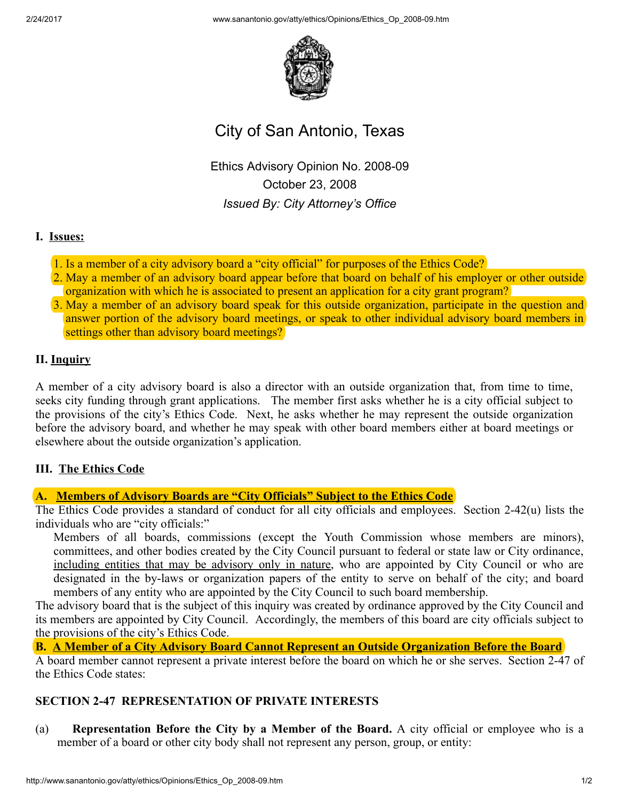2/24/2017 www.sanantonio.gov/atty/ethics/Opinions/Ethics\_Op\_200809.htm



# City of San Antonio, Texas

Ethics Advisory Opinion No. 2008-09 October 23, 2008 Issued By: City Attorney's Office

### I. Issues:

- 1. Is a member of a city advisory board a "city official" for purposes of the Ethics Code?
- 2. May a member of an advisory board appear before that board on behalf of his employer or other outside organization with which he is associated to present an application for a city grant program?
- 3. May a member of an advisory board speak for this outside organization, participate in the question and answer portion of the advisory board meetings, or speak to other individual advisory board members in settings other than advisory board meetings?

### II. Inquiry

A member of a city advisory board is also a director with an outside organization that, from time to time, seeks city funding through grant applications. The member first asks whether he is a city official subject to the provisions of the city's Ethics Code. Next, he asks whether he may represent the outside organization before the advisory board, and whether he may speak with other board members either at board meetings or elsewhere about the outside organization's application.

#### III. The Ethics Code

# A. Members of Advisory Boards are "City Officials" Subject to the Ethics Code

The Ethics Code provides a standard of conduct for all city officials and employees. Section 2-42(u) lists the individuals who are "city officials:"

Members of all boards, commissions (except the Youth Commission whose members are minors), committees, and other bodies created by the City Council pursuant to federal or state law or City ordinance, including entities that may be advisory only in nature, who are appointed by City Council or who are designated in the by-laws or organization papers of the entity to serve on behalf of the city; and board members of any entity who are appointed by the City Council to such board membership.

The advisory board that is the subject of this inquiry was created by ordinance approved by the City Council and its members are appointed by City Council. Accordingly, the members of this board are city officials subject to the provisions of the city's Ethics Code.

B. A Member of a City Advisory Board Cannot Represent an Outside Organization Before the Board

A board member cannot represent a private interest before the board on which he or she serves. Section 2-47 of the Ethics Code states:

# SECTION 247 REPRESENTATION OF PRIVATE INTERESTS

(a) Representation Before the City by a Member of the Board. A city official or employee who is a member of a board or other city body shall not represent any person, group, or entity: